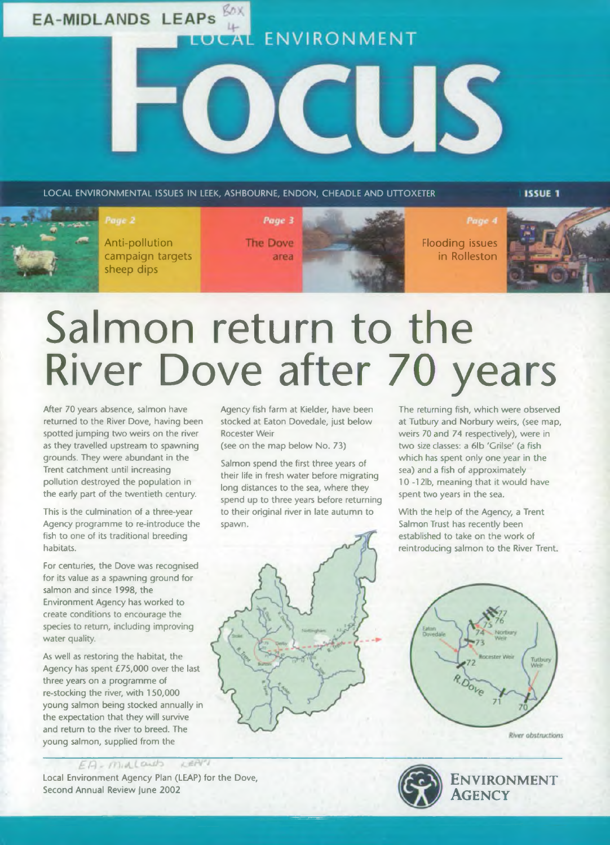#### EA-MIDLANDS LEAPS  $\frac{g_{\partial X}}{\mu}$ **FOCAL ENVIRONMENT**

LOCAL ENVIRONMENTAL ISSUES IN LEEK, ASHBOURNE, ENDON, CHEADLE AND UTTOXETER

**ISSUE 1** 



## Salmon return to the River Dove after 70 years

After 70 years absence, salmon have returned to the River Dove, having been spotted jumping two weirs on the river as they travelled upstream to spawning grounds. They were abundant in the Trent catchment until increasing pollution destroyed the population in the early part of the twentieth century.

This is the culmination of a three-year Agency programme to re-introduce the fish to one of its traditional breeding habitats.

For centuries, the Dove was recognised for its value as a spawning ground for salmon and since 1998, the Environment Agency has worked to create conditions to encourage the species to return, including improving water quality.

As well as restoring the habitat, the Agency has spent £75,000 over the last three years on a programme of re-stocking the river, with 150,000 young salmon being stocked annually in the expectation that they will survive and return to the river to breed. The young salmon, supplied from the

 $EA$ -Midlaub **LEAVY** Local Environment Agency Plan (LEAP) for the Dove, Second Annual Review June 2002

Agency fish farm at Kielder, have been stocked at Eaton Dovedale, just below Rocester Weir

(see on the map below No. 73)

Salmon spend the first three years of their life in fresh water before migrating long distances to the sea, where they spend up to three years before returning to their original river in late autumn to spawn.

The returning fish, which were observed at Tutbury and Norbury weirs, (see map, weirs 70 and 74 respectively), were in two size classes: a 6lb 'Grilse' (a fish which has spent only one year in the sea) and a fish of approximately 10 -121b, meaning that it would have spent two years in the sea.

IS

With the help of the Agency, a Trent Salmon Trust has recently been established to take on the work of reintroducing salmon to the River Trent.



River obstructions



ENVIRONMENT **AGENCY**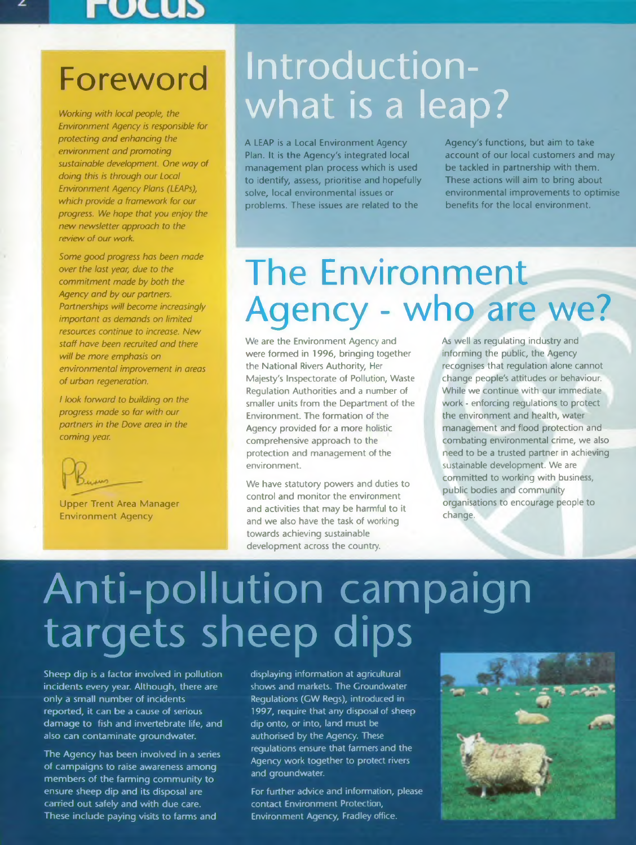*Working with local people, the Environment Agency is responsible for protecting and enhancing the environment and promoting sustainable development. One way of doing this is through our Local Environment Agency Plans (LEAPs), which provide a framework for our progress. We hope that you enjoy the new newsletter approach to the review of our work.*

*Some good progress has been made over the last year, due to the commitment made by both the Agency and by our partners. Partnerships will become increasingly important as demands on limited resources continue to increase. New staff have been recruited and there will be more emphasis on environmental improvement in areas of urban regeneration.*

*I look forward to building on the progress made so far with our partners in the Dove area in the coming year.*

Upper Trent Area Manager Environment Agency

### Introduction-Foreword What is a leap?

A LEAP is a Local Environment Agency Plan. It is the Agency's integrated local management plan process which is used to identify, assess, prioritise and hopefully solve, local environmental issues or problems. These issues are related to the

Agency's functions, but aim to take account of our local customers and may be tackled in partnership with them. These actions will aim to bring about environmental improvements to optimise benefits for the local environment.

### The Environment Agency - who are we?

We are the Environment Agency and were formed in 1996, bringing together the National Rivers Authority, Her Majesty's Inspectorate of Pollution, Waste Regulation Authorities and a number of smaller units from the Department of the Environment. The formation of the Agency provided for a more holistic comprehensive approach to the protection and management of the environment.

We have statutory powers and duties to control and monitor the environment and activities that may be harmful to it and we also have the task of working towards achieving sustainable development across the country.

As well as regulating industry and informing the public, the Agency recognises that regulation alone cannot change people's attitudes or behaviour. While we continue with our immediate work - enforcing regulations to protect the environment and health, water management and flood protection and combating environmental crime, we also need to be a trusted partner in achieving sustainable development. We are committed to working with business, public bodies and community organisations to encourage people to change.

## Anti-pollution campaign targets sheep dips

Sheep dip is a factor involved in pollution incidents every year. Although, there are only a small number of incidents reported, it can be a cause of serious damage to fish and invertebrate life, and also can contaminate groundwater.

The Agency has been involved in a series of campaigns to raise awareness among members of the farming community to ensure sheep dip and its disposal are carried out safely and with due care. These include paying visits to farms and

displaying information at agricultural shows and markets. The Groundwater Regulations (GW Regs), introduced in 1997, require that any disposal of sheep dip onto, or into, land must be authorised by the Agency. These regulations ensure that farmers and the Agency work together to protect rivers and groundwater.

For further advice and information, please contact Environment Protection, Environment Agency, Fradley office.

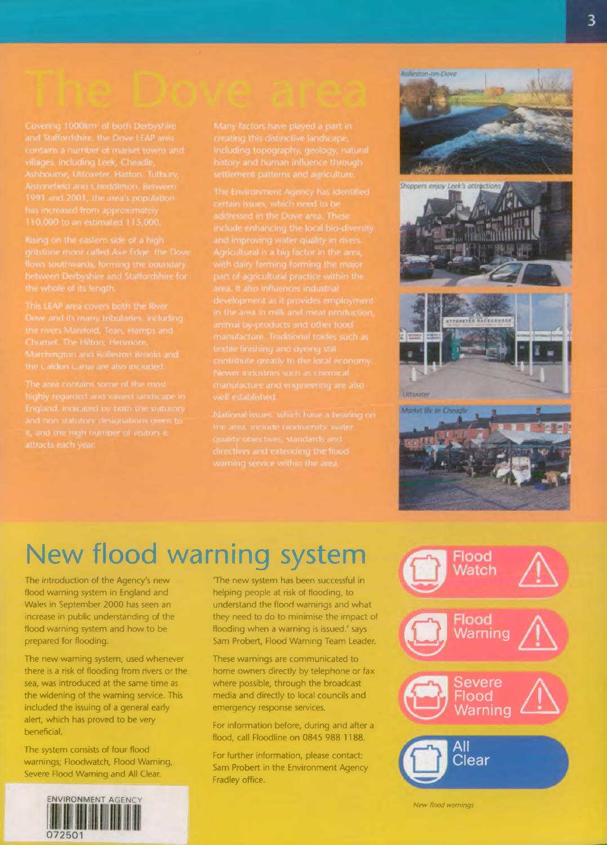# villages, including Leek, Cheadle



Shoppers enjoy Leek's attraction







#### New flood warning system

The introduction of the Agency's new flood warning system in England and Wales in September 2000 has seen an increase in public understanding of the flood warning system and how to be prepared for flooding.

The new warning system, used whenever there is a risk of flooding from rivers or the sea, was introduced at the same time as the widening of the warning service. This included the issuing of a general early alert, which has proved to be very beneficial.

The system consists of four flood warnings; Floodwatch, Flood Warning, Severe Flood Warning and All Clear.



The new system has been successful in helping people at risk of flooding, to understand the flood warnings and what they need to do to minimise the impact of flooding when a warning is issued.' says Sam Probert, Flood Warning Team Leader.

These warnings are communicated to home owners directly by telephone or fax where possible, through the broadcast media and directly to local councils and emergency response services.

For information before, during and after a flood, call Floodline on 0845 988 1188.

For further information, please contact: Sam Probert in the Environment Agency Fradley office.



*New flood warnings*